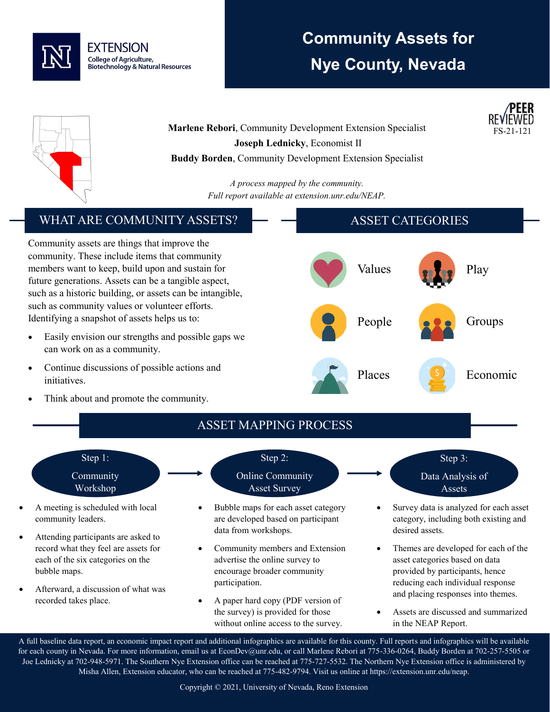

## **Community Assets for Nye County, Nevada**





**Marlene Rebori**, Community Development Extension Specialist **Joseph Lednicky**, Economist II **Buddy Borden**, Community Development Extension Specialist

> *A process mapped by the community. Full report available at extension.unr.edu/NEAP.*

## WHAT ARE COMMUNITY ASSETS?

Community assets are things that improve the community. These include items that community members want to keep, build upon and sustain for future generations. Assets can be a tangible aspect, such as a historic building, or assets can be intangible, such as community values or volunteer efforts. Identifying a snapshot of assets helps us to:

- Easily envision our strengths and possible gaps we can work on as a community.
- Continue discussions of possible actions and initiatives.
- Think about and promote the community.





- A meeting is scheduled with local community leaders.
- Attending participants are asked to record what they feel are assets for each of the six categories on the bubble maps.
- Afterward, a discussion of what was recorded takes place.

Step 2: Online Community

- Asset Survey
- Bubble maps for each asset category are developed based on participant data from workshops.
- Community members and Extension advertise the online survey to encourage broader community participation.
- A paper hard copy (PDF version of the survey) is provided for those without online access to the survey.
- Step 3: Data Analysis of Assets
- Survey data is analyzed for each asset category, including both existing and desired assets.
- Themes are developed for each of the asset categories based on data provided by participants, hence reducing each individual response and placing responses into themes.
- Assets are discussed and summarized in the NEAP Report.

A full baseline data report, an economic impact report and additional infographics are available for this county. Full reports and infographics will be available for each county in Nevada. For more information, email us at EconDev@unr.edu, or call Marlene Rebori at 775-336-0264, Buddy Borden at 702-257-5505 or Joe Lednicky at 702-948-5971. The Southern Nye Extension office can be reached at 775-727-5532. The Northern Nye Extension office is administered by Misha Allen, Extension educator, who can be reached at 775-482-9794. Visit us online at https://extension.unr.edu/neap.